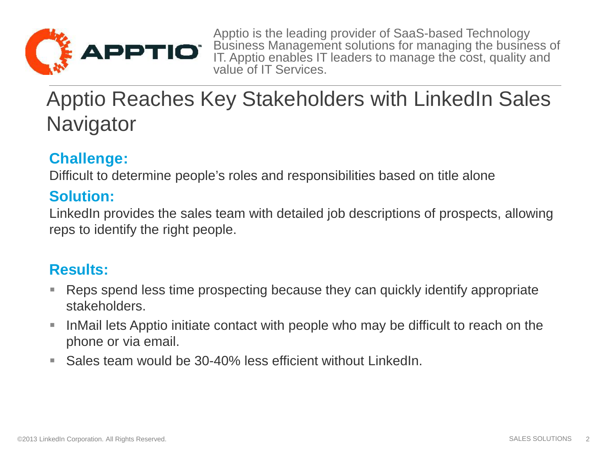

Apptio is the leading provider of SaaS-based Technology Business Management solutions for managing the business of IT. Apptio enables IT leaders to manage the cost, quality and value of IT Services.

## Apptio Reaches Key Stakeholders with LinkedIn Sales **Navigator**

## **Challenge:**

Difficult to determine people's roles and responsibilities based on title alone

## **Solution:**

LinkedIn provides the sales team with detailed job descriptions of prospects, allowing reps to identify the right people.

## **Results:**

- Reps spend less time prospecting because they can quickly identify appropriate stakeholders.
- InMail lets Apptio initiate contact with people who may be difficult to reach on the phone or via email.
- Sales team would be 30-40% less efficient without LinkedIn.